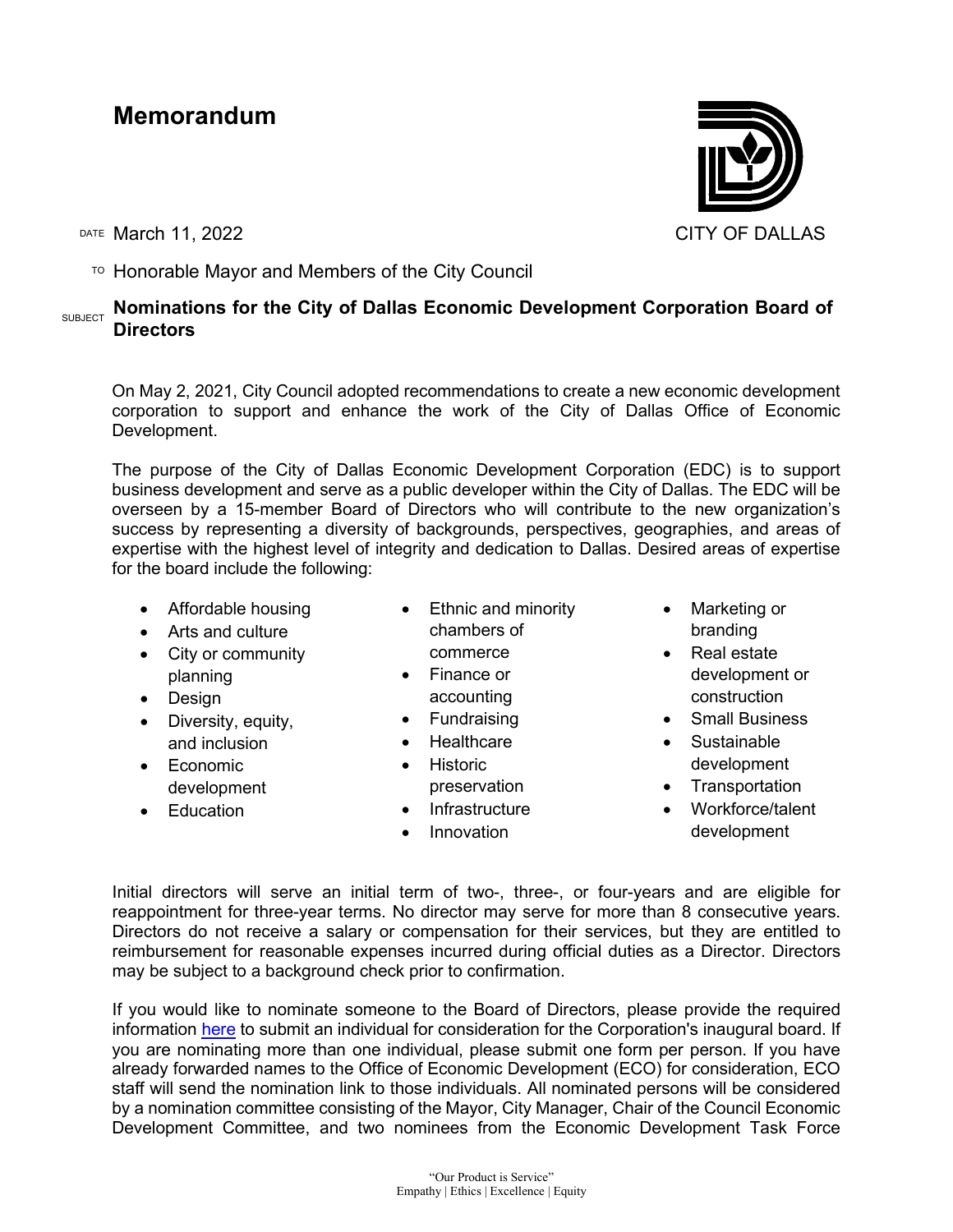## **Memorandum**

DATE March 11, 2022 CITY OF DALLAS

 $\overline{P}$  Honorable Mayor and Members of the City Council

## **SUBJECT** Nominations for the City of Dallas Economic Development Corporation Board of **Directors**

On May 2, 2021, City Council adopted recommendations to create a new economic development corporation to support and enhance the work of the City of Dallas Office of Economic Development.

The purpose of the City of Dallas Economic Development Corporation (EDC) is to support business development and serve as a public developer within the City of Dallas. The EDC will be overseen by a 15-member Board of Directors who will contribute to the new organization's success by representing a diversity of backgrounds, perspectives, geographies, and areas of expertise with the highest level of integrity and dedication to Dallas. Desired areas of expertise for the board include the following:

- Affordable housing
- Arts and culture
- City or community planning
- Design
- Diversity, equity, and inclusion
- Economic development
- Education
- Ethnic and minority chambers of commerce
- Finance or accounting
- Fundraising
- **Healthcare**
- Historic preservation
- **Infrastructure**
- Innovation
- Marketing or branding
- Real estate development or construction
- Small Business
- Sustainable development
- Transportation
- Workforce/talent development

Initial directors will serve an initial term of two-, three-, or four-years and are eligible for reappointment for three-year terms. No director may serve for more than 8 consecutive years. Directors do not receive a salary or compensation for their services, but they are entitled to reimbursement for reasonable expenses incurred during official duties as a Director. Directors may be subject to a background check prior to confirmation.

If you would like to nominate someone to the Board of Directors, please provide the required information [here](https://survey.zohopublic.com/zs/NNRx1g) to submit an individual for consideration for the Corporation's inaugural board. If you are nominating more than one individual, please submit one form per person. If you have already forwarded names to the Office of Economic Development (ECO) for consideration, ECO staff will send the nomination link to those individuals. All nominated persons will be considered by a nomination committee consisting of the Mayor, City Manager, Chair of the Council Economic Development Committee, and two nominees from the Economic Development Task Force